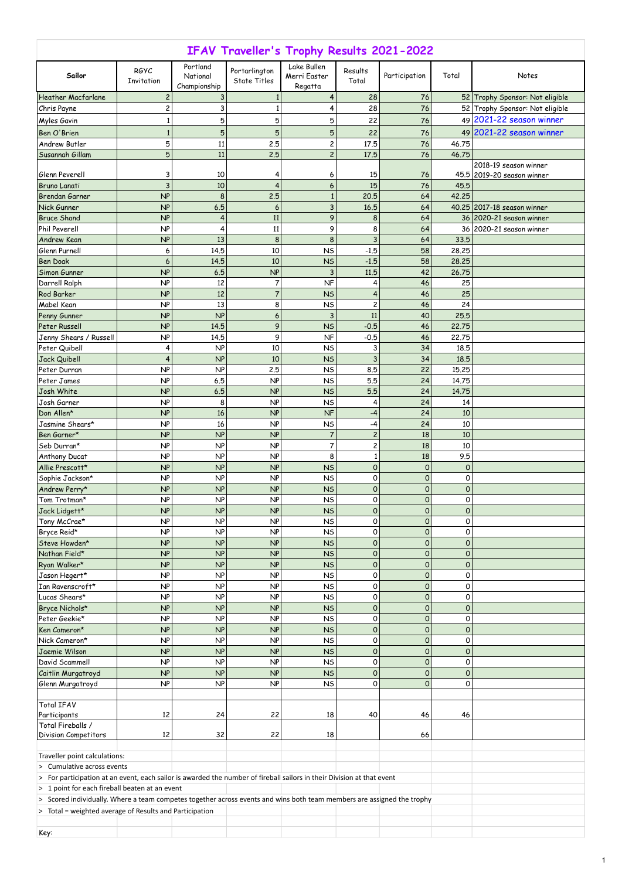1

| IFAV Traveller's Trophy Results 2021-2022                                                                              |                    |                                      |                                      |                                        |                          |                            |               |                                                      |  |
|------------------------------------------------------------------------------------------------------------------------|--------------------|--------------------------------------|--------------------------------------|----------------------------------------|--------------------------|----------------------------|---------------|------------------------------------------------------|--|
| Sailor                                                                                                                 | RGYC<br>Invitation | Portland<br>National<br>Championship | Portarlington<br><b>State Titles</b> | Lake Bullen<br>Merri Easter<br>Regatta | Results<br>Total         | Participation              | Total         | Notes                                                |  |
| <b>Heather Macfarlane</b>                                                                                              | 2                  | 3                                    |                                      | 4                                      | 28                       | 76                         |               | 52 Trophy Sponsor: Not eligible                      |  |
| Chris Payne                                                                                                            | 2                  | 3                                    |                                      | 4                                      | 28                       | 76                         |               | 52 Trophy Sponsor: Not eligible                      |  |
| Myles Gavin                                                                                                            | 1                  | 5                                    | 5                                    | 5                                      | 22                       | 76                         |               | $49 2021-22$ season winner                           |  |
| Ben O'Brien                                                                                                            | 1                  | 5                                    | 5                                    | 5                                      | 22                       | 76                         |               | $49$ 2021-22 season winner                           |  |
| Andrew Butler                                                                                                          | 5                  | 11                                   | 2.5                                  | $\overline{c}$                         | 17.5                     | 76                         | 46.75         |                                                      |  |
| Susannah Gillam                                                                                                        | 5                  | 11                                   | 2.5                                  | $\overline{c}$                         | 17.5                     | 76                         | 46.75         | 2018-19 season winner                                |  |
| Glenn Peverell                                                                                                         | 3                  | 10                                   | 4                                    | 6                                      | 15                       | 76                         |               | 45.5 2019-20 season winner                           |  |
| <b>Bruno Lanati</b>                                                                                                    | 3                  | 10                                   | 4                                    | 6                                      | 15                       | 76                         | 45.5          |                                                      |  |
| Brendan Garner                                                                                                         | NP                 | 8                                    | 2.5                                  |                                        | 20.5                     | 64                         | 42.25         |                                                      |  |
| Nick Gunner                                                                                                            | NP                 | 6.5                                  | 6                                    | 3                                      | 16.5                     | 64                         |               | 40.25 2017-18 season winner                          |  |
| <b>Bruce Shand</b><br>Phil Peverell                                                                                    | NP<br>NP           | 4<br>4                               | 11                                   | 9<br>9                                 | 8                        | 64<br>64                   |               | 36 2020-21 season winner<br>36 2020-21 season winner |  |
| Andrew Kean                                                                                                            | NP                 | 13                                   | 11<br>8                              | 8                                      | 8<br>3                   | 64                         | 33.5          |                                                      |  |
| Glenn Purnell                                                                                                          | 6                  | 14.5                                 | 10                                   | <b>NS</b>                              | $-1.5$                   | 58                         | 28.25         |                                                      |  |
| <b>Ben Doak</b>                                                                                                        | 6                  | 14.5                                 | 10                                   | <b>NS</b>                              | $-1.5$                   | 58                         | 28.25         |                                                      |  |
| Simon Gunner                                                                                                           | NP                 | 6.5                                  | NP                                   | 3                                      | 11.5                     | 42                         | 26.75         |                                                      |  |
| Darrell Ralph                                                                                                          | NP                 | 12                                   | 7                                    | <b>NF</b>                              | 4                        | 46                         | 25            |                                                      |  |
| Rod Barker                                                                                                             | NP                 | 12                                   |                                      | <b>NS</b>                              | 4                        | 46                         | 25            |                                                      |  |
| Mabel Kean                                                                                                             | NP                 | 13                                   | 8                                    | <b>NS</b>                              | $\overline{c}$           | 46                         | 24            |                                                      |  |
| Penny Gunner<br>Peter Russell                                                                                          | NP<br>NP           | NP<br>14.5                           | 6<br>9                               | 3<br><b>NS</b>                         | 11<br>$-0.5$             | 40<br>46                   | 25.5<br>22.75 |                                                      |  |
| Jenny Shears / Russell                                                                                                 | NP                 | 14.5                                 | 9                                    | <b>NF</b>                              | $-0.5$                   | 46                         | 22.75         |                                                      |  |
| Peter Quibell                                                                                                          | 4                  | NP                                   | 10                                   | <b>NS</b>                              | 3                        | 34                         | 18.5          |                                                      |  |
| Jack Quibell                                                                                                           | 4                  | NP                                   | 10                                   | <b>NS</b>                              | 3                        | 34                         | 18.5          |                                                      |  |
| Peter Durran                                                                                                           | NP                 | NP                                   | 2.5                                  | <b>NS</b>                              | 85<br><b></b>            | 22                         | 15.25         |                                                      |  |
| Peter James                                                                                                            | NP                 | 6.5                                  | NP                                   | <b>NS</b>                              | 5.5                      | 24                         | 14.75         |                                                      |  |
| Josh White                                                                                                             | NP                 | 6.5                                  | NP                                   | <b>NS</b>                              | 5.5                      | 24                         | 14.75         |                                                      |  |
| Josh Garner                                                                                                            | NP                 | 8                                    | NP                                   | <b>NS</b>                              | 4                        | 24                         | 14            |                                                      |  |
| Don Allen*<br>Jasmine Shears*                                                                                          | NP<br>NP           | 16<br>16                             | NP<br>NP                             | <b>NF</b><br><b>NS</b>                 | -4<br>-4                 | 24<br>24                   | 10<br>10      |                                                      |  |
| Ben Garner*                                                                                                            | NP                 | NP                                   | NP                                   |                                        | $\overline{c}$           | 18                         | 10            |                                                      |  |
| Seb Durran*                                                                                                            | NP                 | NP                                   | NP                                   | 7                                      | $\overline{c}$           | 18                         | 10            |                                                      |  |
| Anthony Ducat                                                                                                          | NP                 | NP                                   | NP                                   | 8                                      |                          | 18                         | 9.5           |                                                      |  |
| Allie Prescott*                                                                                                        | NP                 | NP                                   | NP                                   | <b>NS</b>                              | $\mathbf 0$              | $\Omega$                   | $\Omega$      |                                                      |  |
| Sophie Jackson*                                                                                                        | NP                 | NP                                   | NP                                   | <b>NS</b>                              | 0                        | $\mathbf 0$                | 0             |                                                      |  |
| Andrew Perry*<br>Tom Trotman*                                                                                          | NP<br>NP           | NP<br>NP                             | NP<br>NP                             | <b>NS</b><br><b>NS</b>                 | $\mathsf{O}\xspace$<br>0 | $\mathbf 0$<br>$\mathbf 0$ | $\Omega$<br>0 |                                                      |  |
| Jack Lidgett*                                                                                                          | NP                 | NP                                   | NP                                   | <b>NS</b>                              | $\mathsf{O}\xspace$      | 0                          | $\Omega$      |                                                      |  |
| Tony McCrae*                                                                                                           | NP                 | NP                                   | NP                                   | <b>NS</b>                              | 0                        | $\mathsf{O}$               | 0             |                                                      |  |
| Bryce Reid*                                                                                                            | NP                 | NP                                   | NP                                   | <b>NS</b>                              | 0                        | $\mathbf 0$                | 0             |                                                      |  |
| Steve Howden*                                                                                                          | NP                 | NP                                   | NP                                   | <b>NS</b>                              | $\mathbf 0$              | 0                          | $\Omega$      |                                                      |  |
| Nathan Field*                                                                                                          | NP                 | NP                                   | NP                                   | <b>NS</b>                              | $\mathbf 0$              | $\mathbf 0$                | $\Omega$      |                                                      |  |
| Ryan Walker*                                                                                                           | NP                 | NP                                   | NP                                   | <b>NS</b>                              | $\mathbf 0$              | $\mathbf 0$                | $\Omega$      |                                                      |  |
| Jason Hegert*<br>Ian Ravenscroft*                                                                                      | NP<br>NP           | NP<br>NP                             | NP<br>NP                             | <b>NS</b><br><b>NS</b>                 | 0<br>0                   | $\mathbf 0$<br>$\mathbf 0$ | 0<br>0        |                                                      |  |
| Lucas Shears*                                                                                                          | NP                 | NP                                   | NP                                   | <b>NS</b>                              | 0                        | $\mathbf 0$                | 0             |                                                      |  |
| Bryce Nichols*                                                                                                         | NP                 | NP                                   | NP                                   | <b>NS</b>                              | $\mathbf 0$              | $\Omega$                   | $\Omega$      |                                                      |  |
| Peter Geekie*                                                                                                          | NP                 | NP                                   | NP                                   | <b>NS</b>                              | 0                        | $\mathsf{O}$               | 0             |                                                      |  |
| Ken Cameron*                                                                                                           | NP                 | NP                                   | NP                                   | <b>NS</b>                              | $\mathsf{O}\xspace$      | $\mathbf 0$                | $\Omega$      |                                                      |  |
| Nick Cameron*                                                                                                          | NP                 | NP                                   | NP                                   | <b>NS</b>                              | 0                        | $\mathbf 0$                | 0             |                                                      |  |
| Jaemie Wilson<br>David Scammell                                                                                        | NP<br>NP           | NP<br>NP                             | NP<br>NP                             | <b>NS</b><br><b>NS</b>                 | $\mathbf 0$<br>0         | $\Omega$<br>$\overline{0}$ | $\Omega$<br>0 |                                                      |  |
| Caitlin Murgatroyd                                                                                                     | NP                 | NP                                   | NP                                   | <b>NS</b>                              | $\mathsf{O}\xspace$      | $\mathbf 0$                | $\Omega$      |                                                      |  |
| Glenn Murgatroyd                                                                                                       | NP                 | NP                                   | NP                                   | <b>NS</b>                              | $\mathsf{O}\xspace$      | $\Omega$                   | 0             |                                                      |  |
|                                                                                                                        |                    |                                      |                                      |                                        |                          |                            |               |                                                      |  |
| Total IFAV                                                                                                             |                    |                                      |                                      |                                        |                          |                            |               |                                                      |  |
| Participants<br>Total Fireballs /                                                                                      | 12                 | 24                                   | 22                                   | 18                                     | 40                       | 46                         | 46            |                                                      |  |
| <b>Division Competitors</b>                                                                                            | 12                 | 32                                   | 22                                   | 18                                     |                          | 66                         |               |                                                      |  |
| Traveller point calculations:                                                                                          |                    |                                      |                                      |                                        |                          |                            |               |                                                      |  |
| $\vert$ > Cumulative across events                                                                                     |                    |                                      |                                      |                                        |                          |                            |               |                                                      |  |
| > For participation at an event, each sailor is awarded the number of fireball sailors in their Division at that event |                    |                                      |                                      |                                        |                          |                            |               |                                                      |  |
| $\vert$ > 1 point for each fireball beaten at an event                                                                 |                    |                                      |                                      |                                        |                          |                            |               |                                                      |  |
| > Scored individually. Where a team competes together across events and wins both team members are assigned the trophy |                    |                                      |                                      |                                        |                          |                            |               |                                                      |  |
| $>$ Total = weighted average of Results and Participation                                                              |                    |                                      |                                      |                                        |                          |                            |               |                                                      |  |
| Key:                                                                                                                   |                    |                                      |                                      |                                        |                          |                            |               |                                                      |  |